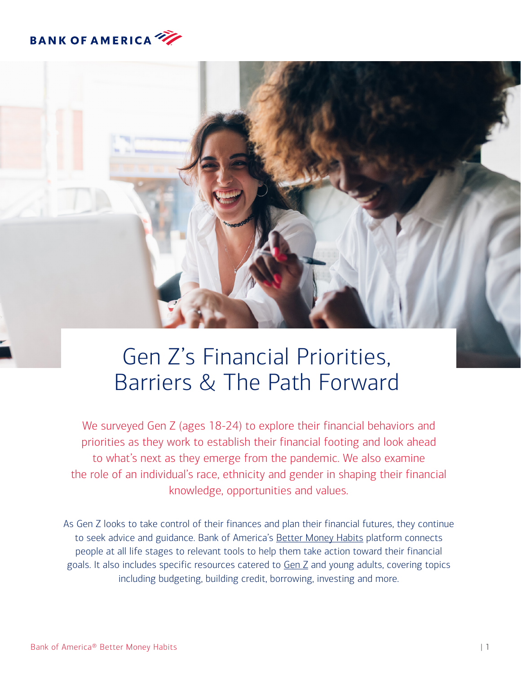



# Gen Z's Financial Priorities, Barriers & The Path Forward

We surveyed Gen Z (ages 18-24) to explore their financial behaviors and priorities as they work to establish their financial footing and look ahead to what's next as they emerge from the pandemic. We also examine the role of an individual's race, ethnicity and gender in shaping their financial knowledge, opportunities and values.

As Gen Z looks to take control of their finances and plan their financial futures, they continue to seek advice and guidance. Bank of America's [Better Money Habits](https://bettermoneyhabits.bankofamerica.com/en) platform connects people at all life stages to relevant tools to help them take action toward their financial goals. It also includes specific resources catered to [Gen Z](https://bettermoneyhabits.bankofamerica.com/en/gen-z-financial-habits) and young adults, covering topics including budgeting, building credit, borrowing, investing and more.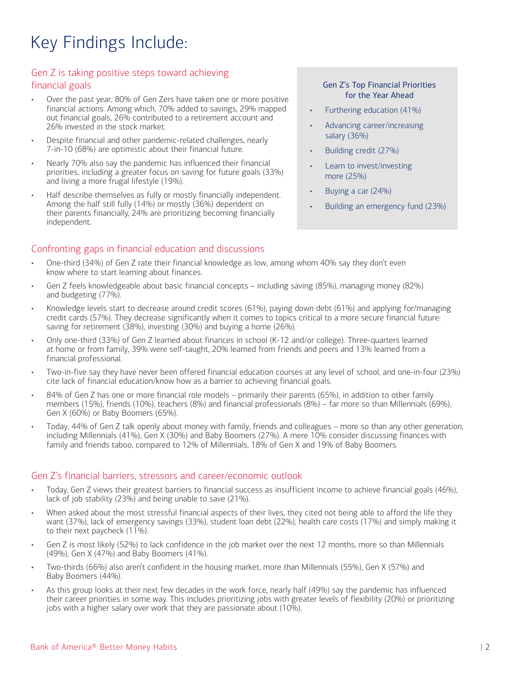## Key Findings Include:

## Gen Z is taking positive steps toward achieving financial goals

- Over the past year, 80% of Gen Zers have taken one or more positive financial actions. Among which, 70% added to savings, 29% mapped out financial goals, 26% contributed to a retirement account and 26% invested in the stock market.
- Despite financial and other pandemic-related challenges, nearly 7-in-10 (68%) are optimistic about their financial future.
- Nearly 70% also say the pandemic has influenced their financial priorities, including a greater focus on saving for future goals (33%) and living a more frugal lifestyle (19%).
- Half describe themselves as fully or mostly financially independent. Among the half still fully (14%) or mostly (36%) dependent on their parents financially, 24% are prioritizing becoming financially independent.

## Confronting gaps in financial education and discussions

#### Gen Z's Top Financial Priorities for the Year Ahead

- Furthering education (41%)
- Advancing career/increasing salary (36%)
- Building credit (27%)
- Learn to invest/investing more (25%)
- Buying a car (24%)
- Building an emergency fund (23%)
- One-third (34%) of Gen Z rate their financial knowledge as low, among whom 40% say they don't even know where to start learning about finances.
- Gen Z feels knowledgeable about basic financial concepts including saving (85%), managing money (82%) and budgeting (77%).
- Knowledge levels start to decrease around credit scores (61%), paying down debt (61%) and applying for/managing credit cards (57%). They decrease significantly when it comes to topics critical to a more secure financial future: saving for retirement (38%), investing (30%) and buying a home (26%).
- Only one-third (33%) of Gen Z learned about finances in school (K-12 and/or college). Three-quarters learned at home or from family, 39% were self-taught, 20% learned from friends and peers and 13% learned from a financial professional.
- Two-in-five say they have never been offered financial education courses at any level of school, and one-in-four (23%) cite lack of financial education/know how as a barrier to achieving financial goals.
- 84% of Gen Z has one or more financial role models primarily their parents (65%), in addition to other family members (15%), friends (10%), teachers (8%) and financial professionals (8%) – far more so than Millennials (69%), Gen X (60%) or Baby Boomers (65%).
- Today, 44% of Gen Z talk openly about money with family, friends and colleagues more so than any other generation, including Millennials (41%), Gen X (30%) and Baby Boomers (27%). A mere 10% consider discussing finances with family and friends taboo, compared to 12% of Millennials, 18% of Gen X and 19% of Baby Boomers.

## Gen Z's financial barriers, stressors and career/economic outlook

- Today, Gen Z views their greatest barriers to financial success as insufficient income to achieve financial goals (46%), lack of job stability (23%) and being unable to save (21%).
- When asked about the most stressful financial aspects of their lives, they cited not being able to afford the life they want (37%), lack of emergency savings (33%), student loan debt (22%), health care costs (17%) and simply making it to their next paycheck (11%).
- Gen Z is most likely (52%) to lack confidence in the job market over the next 12 months, more so than Millennials (49%), Gen X (47%) and Baby Boomers (41%).
- Two-thirds (66%) also aren't confident in the housing market, more than Millennials (55%), Gen X (57%) and Baby Boomers (44%).
- As this group looks at their next few decades in the work force, nearly half (49%) say the pandemic has influenced their career priorities in some way. This includes prioritizing jobs with greater levels of flexibility (20%) or prioritizing jobs with a higher salary over work that they are passionate about (10%).